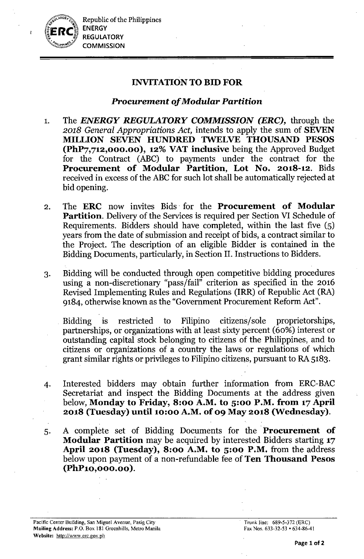

Republic of the Philippines ENERGY **REGULATORY COMMISSION** 

# INVITATIONTO BID FOR

# *Procurement of Modular Partition*

- 1. The *ENERGY REGULATORY COMMISSION (ERC),* through the *2018 General Appropriations Act,* intends to apply the sum of SEVEN MILLION SEVEN HUNDRED TWELVE THOUSAND PESOS (PhP7,712,000.00), 12% VAT inclusive being the Approved Budget for the Contract (ABC) to payments under the contract for the Procurement of Modular Partition, Lot No. 2018-12. Bids received in excess of the ABC for such lot shall be automatically rejected at bid opening.
- 2. The ERC now invites Bids for the Procurement of Modular Partition. Delivery of the Services is required per Section VI Schedule of Requirements. Bidders should have completed, within the last five (5) years from the date of submission and receipt of bids, a contract similar to the Project. The description of an eligible Bidder is contained in the Bidding Documents, particularly, in Section II. Instructions to Bidders.
- 3. Bidding will be conducted through open competitive bidding procedures using a non-discretionary "pass/fail" criterion as specified in the 2016 Revised Implementing Rules and Regulations (IRR) of Republic Act (RA) 9184, otherwise known as the "Government Procurement Reform Act".

. Bidding is restricted to Filipino citizens/sole proprietorships, partnerships, or organizations with at least sixty percent (60%) interest or outstanding capital stock belonging to citizens of the Philippines, and to citizens or organizations of a country the laws or regulations of which grant similar rights or privileges to Filipino citizens, pursuant to RA 5183.

- 4. Interested bidders may obtain further information from ERC-BAC Secretariat and inspect the Bidding Documents at the address given below, Monday to Friday, 8:00 A.M. to 5:00 P.M. from 17 April 2018 (Tuesday) until 10:00 A.M. of 09 May 2018 (Wednesday).
- 5. A complete set of Bidding Documents for the **Procurement of** Modular Partition may be acquired by interested Bidders starting 17 April 2018 (Tuesday), 8:00 A.M. to  $5:00$  P.M. from the address below upon payment of a non-refundable fee of Ten Thousand Pesos (PhP10,OOO.00 ).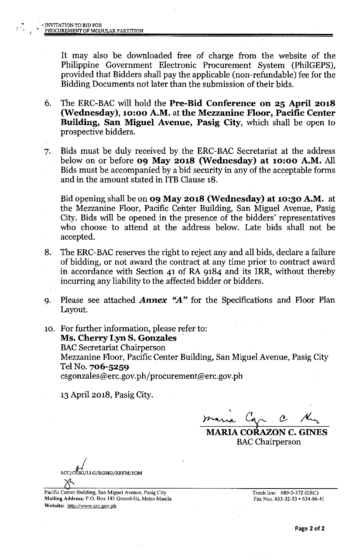It may also be downloaded free of charge from the website of the Philippine Government Electronic Procurement System (PhilGEPS), provided that Bidders shall pay the applicable (non-refundable) fee for the Bidding Documents not later than the submission of their bids.

- 6. The ERC-BACwill hold the Pre-Bid Conference on 25 April 2018 (Wednesday), 10:00 A.M. at the Mezzanine Floor, Pacific Center Building, San Miguel Avenue, Pasig City, which shall be open to prospective bidders.
- 7. Bids must be duly received by the ERC-BAC Secretariat at the address below on or before 09 May 2018 (Wednesday) at 10:00 A.M. All Bids must be accompanied by a bid security in any of the acceptable forms and in the amount stated in ITB Clause 18.

Bid opening shall be on 09 May 2018 (Wednesday) at 10:30 A.M. at the Mezzanine Floor, Pacific Center Building, San Miguel Avenue, Pasig City. Bids will be opened in the presence of the bidders' representatives who choose to attend at the address below. Late bids shall not be accepted.

- 8. The ERC-BAC reserves the right to reject any and all bids, declare a failure of bidding, or not award the contract at any time prior to contract award in accordance with Section 41 of RA 9184 and its IRR, without thereby incurring any liability to the affected bidder or bidders. .
- 9. Please see attached *Annex "A"* for the Specifications and Floor Plan Layout.
- 10. For further information, please refer to: Ms. Cherry Lyn S. Gonzales ' **BAC Secretariat Chairperson** Mezzanine Floor, Pacific Center Building, San Miguel Avenue, Pasig City Tel No. 706-5259 csgonzales@erc.gov.ph/procurement@erc.gov.ph

13April 2018, Pasig City.

,  $r_{\text{max}}$  Car C /

MARIA CORAZON C. GINES **BAC** Chairperson

ACC/CLSG/LLG/RGMG/RRFM/SOM

Pacific Center Building, San Miguel Avenue, Pasig City **Mailing** Address: P.O. Box 181 Greenhills, Metro Manila Website: <http://www.crc.gov.ph>

Trunk line: 689-5-372 (ERC) Fax Nos. 633-32-53 • 634-86-41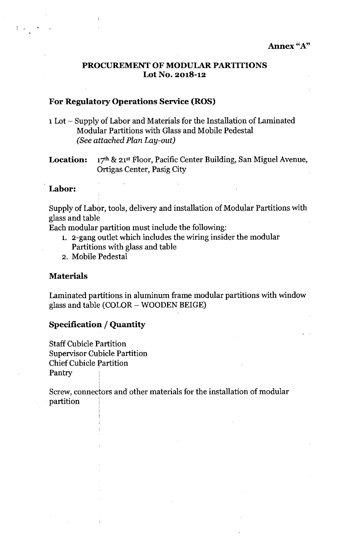### PROCUREMENT OF MODULAR PARTITIONS Lot No. 2018-12

### For Regulatory Operations Service (ROS)

- 1Lot Supply of Labor and Materials for the Installation of Laminated Modular Partitions with Glass and Mobile Pedestal *(See attached Plan Lay-out)*
- **Location:**  $17<sup>th</sup>$  &  $21<sup>st</sup>$  Floor, Pacific Center Building, San Miguel Avenue, Ortigas Center, Pasig City

### Labor:

Supply of Labor, tools, delivery and installation of Modular Partitions with glass and table

Each modular partition must include the following:

- 1. 2-gang outlet which includes the wiring insider the modular Partitions with glass and table
- 2. Mobile Pedestal

#### Materials

Laminated partitions in aluminum frame modular partitions with window glass and table (COLOR - WOODEN BEIGE)

### Specification / Quantity

Staff Cubicle Partition Supervisor Cubicle Partition Chief Cubicle fartition Pantry

i

I i

Screw, connectors and other materials for the installation of modular  $\mathbf{partition} \qquad |$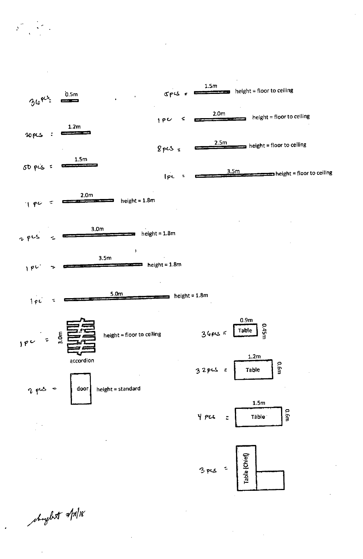

 $2.5m$ height = floor to ceiling  $8pc5 =$  $1.5<sub>m</sub>$  $50$  pis =  $3.5<sub>m</sub>$  $\blacksquare$  height = floor to ceiling Ipc





height = standard



door











shiple talgory

 $2P5$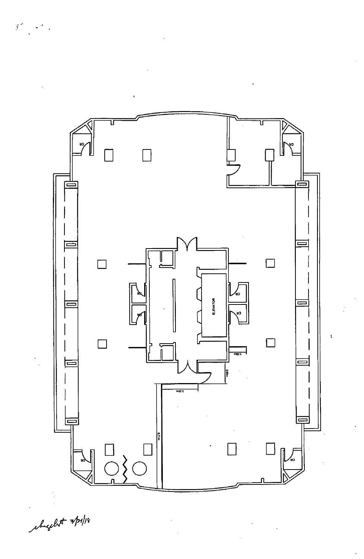

chight spipe

 $\left(\begin{matrix} \widetilde{\mathbf{y}}^{(1)} & \cdots & \widetilde{\mathbf{y}}^{(N)} \\ \vdots & \vdots & \vdots \\ \vdots & \ddots & \vdots \end{matrix}\right)$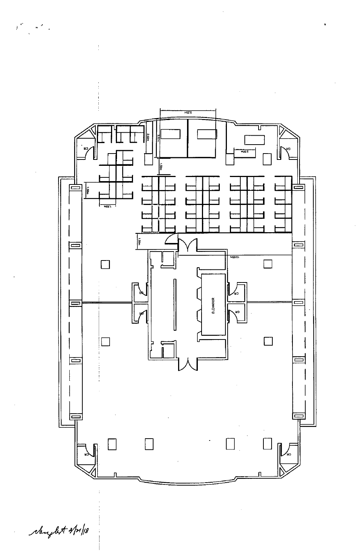

chey let spipe

 $\mathbb{R}^{|C| \times 1}$ 

 $\sim$   $^{\prime}$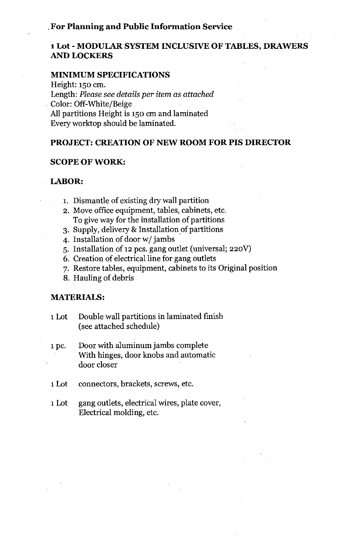### .For **Planning and Public Information Service**

## **1Lot - MODULAR SYSTEM INCLUSIVE OF TABLES, DRAWERS** AND LOCKERS

#### **MINIMUM SPECIFICATIONS**

Height: 150 em. Length: *Please see details per item as attached* . Color: Off-White/Beige All partitions Height is 150 em and laminated Every worktop should be laminated.

### **PROJECT: CREATION OF NEW ROOM FOR** PIS DIRECTOR

#### **SCOPE OF WORK:**

#### **LABOR:**

- 1. Dismantle of existing dry wall partition
- 2. Move office equipment, tables, cabinets, etc. To give way for the installation of partitions
- 3. Supply, delivery & Installation of partitions
- 4. Installation of door w/ jambs
- 5. Installation of 12 pes. gang outlet (universal; 220V)
- 6. Creation of electrical line for gang outlets
- 7. Restore tables, equipment, cabinets to its Original position
- 8. Hauling of debris

#### **MATERIALS:**

- 1Lot Double wall partitions in laminated finish (see attached schedule)
- 1pc. Door with aluminum jambs complete With hinges, door knobs and automatic door closer
- 1Lot connectors, brackets, screws, etc.
- 1Lot gang outlets, electrical wires, plate cover, Electrical molding, etc.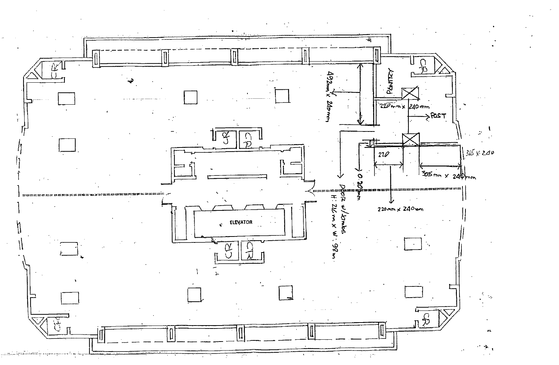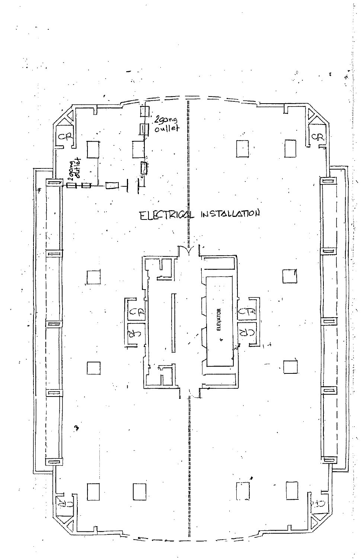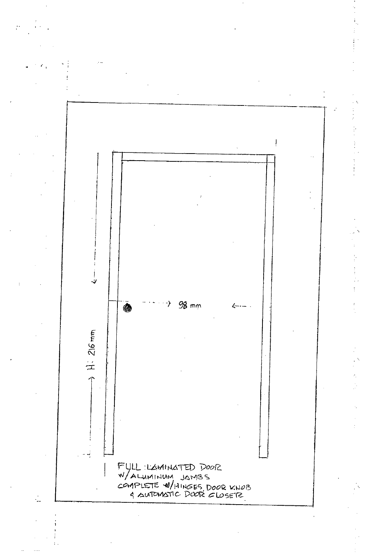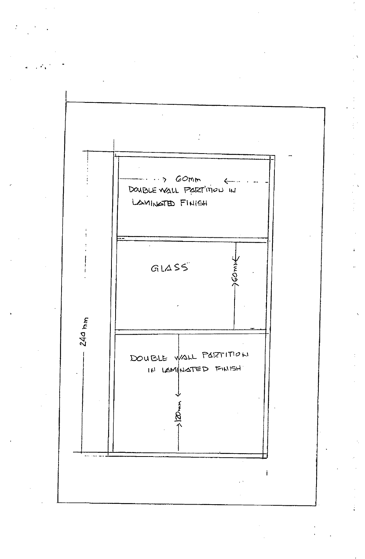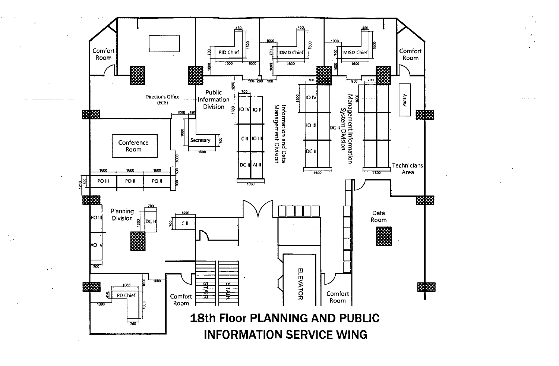

 $\omega_{\rm{max}}$  ,  $\omega_{\rm{max}}$ 

 $\frac{1}{2}$ 

 $\mathbf{r}$  .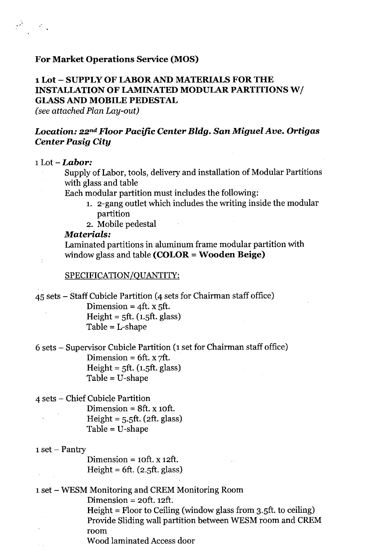# **For Market Operations Service (MOS)**

# **1Lot -** SUPPLY OF LABOR AND **MATERIALS FOR THE INSTALLATION OF LAMINATED MODULAR PARTITIONS W/ GLASS AND MOBILE PEDESTAL**

*(see attached Plan Lay-out)*

## *Location: 22nd Floor Pacific Center Bldg. San Miguel Ave. Ortigas Center Pasig City*

## 1Lot - *Labor:*

 $\mathcal{E} \subset \mathbb{R}$ 

Supply of Labor, tools, delivery and installation of Modular Partitions with glass and table

Each modular partition must includes the following:

- 1. 2-gang outlet which includes the writing inside the modular partition
- 2. Mobile pedestal

### *Materials:*

Laminated partitions in aluminum frame modular partition with window glass and table **(COLOR = Wooden Beige)**

#### SPECIFICATION/QUANTITY:

4S sets - Staff Cubicle Partition (4 sets for Chairman staff office) Dimension =  $4$ ft. x  $5$ ft.  $Height = 5ft. (1.5ft. glass)$  $Table = L-shape$ 6 sets - Supervisor Cubicle Partition (1 set for Chairman staff office) Dimension =  $6ft. x \, \text{7ft}.$  $Height = 5ft. (1.5ft. glass)$ 

Table = U-shape

4 sets - Chief Cubicle Partition

Dimension  $= 8$ ft. x 10ft.  $Height = 5.5ft. (2ft. glass)$ Table = U-shape

 $1$  set  $-$  Pantry

 $\mathcal{L}^{\pm}$  ,

Dimension =  $10ft. x 12ft.$ Height =  $6ft. (2.5ft. glass)$ 

1 set - WESM Monitoring and CREM Monitoring Room

Dimension =  $20ft. 12ft.$ 

Height = Floor to Ceiling (window glass from 3.Sft. to ceiling) Provide Sliding wall partition between WESM room and CREM room

Wood laminated Access door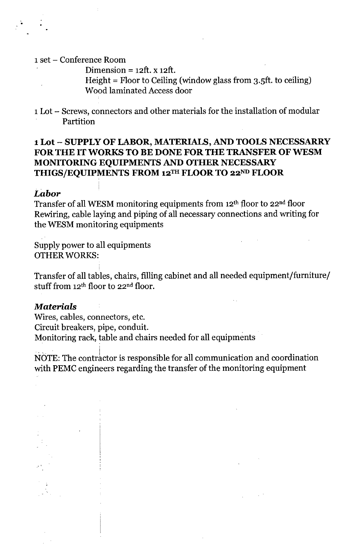#### 1set - Conference Room

Dimension =  $12$ ft. x  $12$ ft.

Height = Floor to Ceiling (window glass from 3.5ft. to ceiling) Wood laminated Access door

1Lot - Screws, connectors and other materials for the installation of modular Partition

# 1Lot - SUPPLY OF LABOR, MATERIALS, AND TOOLS NECESSARRY FOR THE IT WORKS TO BE DONE FOR THE TRANSFER OF WESM MONITORING EQUIPMENTS AND OTHER NECESSARY THIGS/EQUIPMENTS FROM 12TH FLOOR TO 22ND FLOOR

### *Labor*

Transfer of all WESM monitoring equipments from 12<sup>th</sup> floor to 22<sup>nd</sup> floor Rewiring, cable laying and piping of all necessary connections and writing for the WESM monitoring equipments

Supply power to all equipments OTHER WORKS:

Transfer of all tables, chairs, filling cabinet and all needed equipment/furniture/ stuff from  $12<sup>th</sup>$  floor to  $22<sup>nd</sup>$  floor.

## *Materials*

, and the contract of the contract of the contract of the contract of the contract of the contract of the contract of the contract of the contract of the contract of the contract of the contract of the contract of the con

Wires, cables, connectors, etc. Circuit breakers, pipe, conduit. Monitoring rack, table and chairs needed for all equipments

NOTE: The contractor is responsible for all communication and coordination with PEMC engineers regarding the transfer of the monitoring equipment